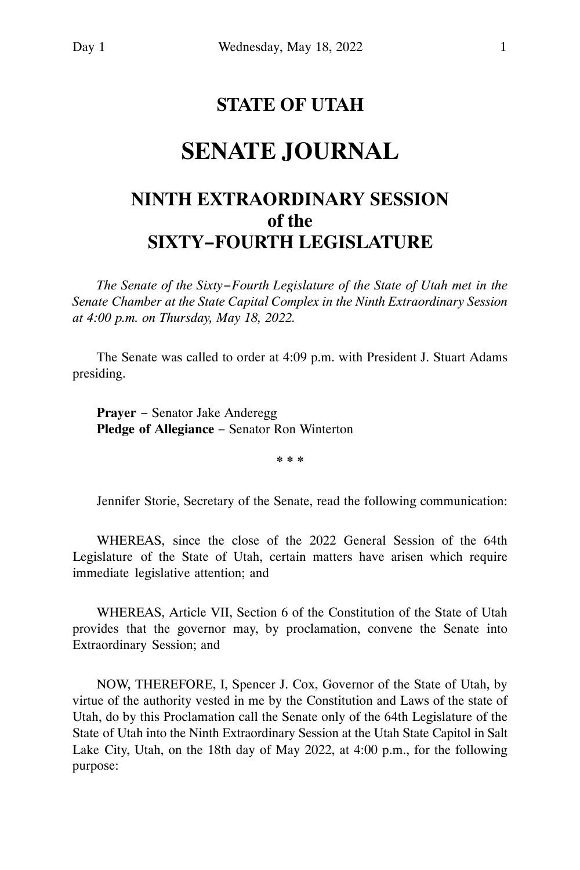## **STATE OF UTAH**

# **SENATE JOURNAL**

## **NINTH EXTRAORDINARY SESSION of the SIXTY−FOURTH LEGISLATURE**

*The Senate of the Sixty−Fourth Legislature of the State of Utah met in the Senate Chamber at the State Capital Complex in the Ninth Extraordinary Session at 4:00 p.m. on Thursday, May 18, 2022.*

The Senate was called to order at 4:09 p.m. with President J. Stuart Adams presiding.

**Prayer** − Senator Jake Anderegg **Pledge of Allegiance** − Senator Ron Winterton

**\* \* \***

Jennifer Storie, Secretary of the Senate, read the following communication:

WHEREAS, since the close of the 2022 General Session of the 64th Legislature of the State of Utah, certain matters have arisen which require immediate legislative attention; and

WHEREAS, Article VII, Section 6 of the Constitution of the State of Utah provides that the governor may, by proclamation, convene the Senate into Extraordinary Session; and

NOW, THEREFORE, I, Spencer J. Cox, Governor of the State of Utah, by virtue of the authority vested in me by the Constitution and Laws of the state of Utah, do by this Proclamation call the Senate only of the 64th Legislature of the State of Utah into the Ninth Extraordinary Session at the Utah State Capitol in Salt Lake City, Utah, on the 18th day of May 2022, at 4:00 p.m., for the following purpose: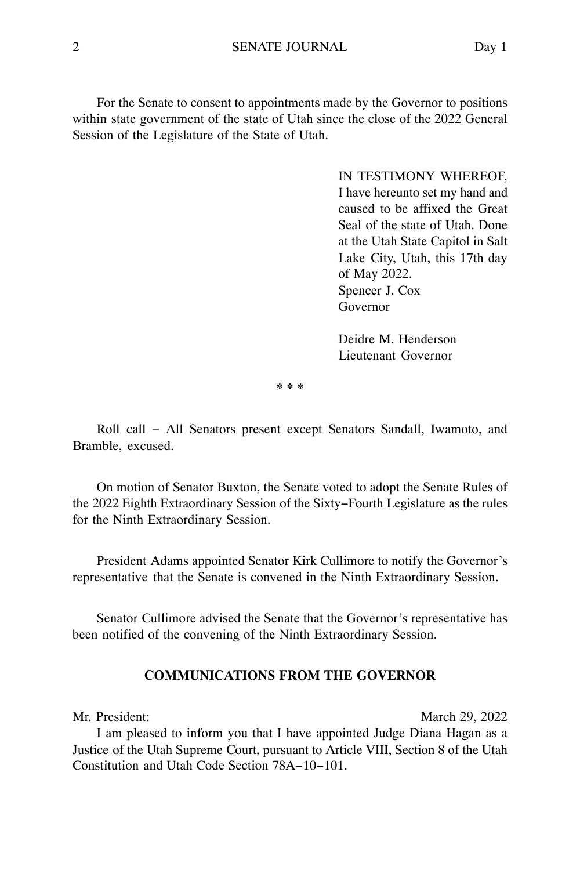For the Senate to consent to appointments made by the Governor to positions within state government of the state of Utah since the close of the 2022 General Session of the Legislature of the State of Utah.

> IN TESTIMONY WHEREOF, I have hereunto set my hand and caused to be affixed the Great Seal of the state of Utah. Done at the Utah State Capitol in Salt Lake City, Utah, this 17th day of May 2022. Spencer J. Cox Governor

Deidre M. Henderson Lieutenant Governor

**\* \* \***

Roll call − All Senators present except Senators Sandall, Iwamoto, and Bramble, excused.

On motion of Senator Buxton, the Senate voted to adopt the Senate Rules of the 2022 Eighth Extraordinary Session of the Sixty−Fourth Legislature as the rules for the Ninth Extraordinary Session.

President Adams appointed Senator Kirk Cullimore to notify the Governor's representative that the Senate is convened in the Ninth Extraordinary Session.

Senator Cullimore advised the Senate that the Governor's representative has been notified of the convening of the Ninth Extraordinary Session.

### **COMMUNICATIONS FROM THE GOVERNOR**

Mr. President: March 29, 2022

I am pleased to inform you that I have appointed Judge Diana Hagan as a Justice of the Utah Supreme Court, pursuant to Article VIII, Section 8 of the Utah Constitution and Utah Code Section 78A−10−101.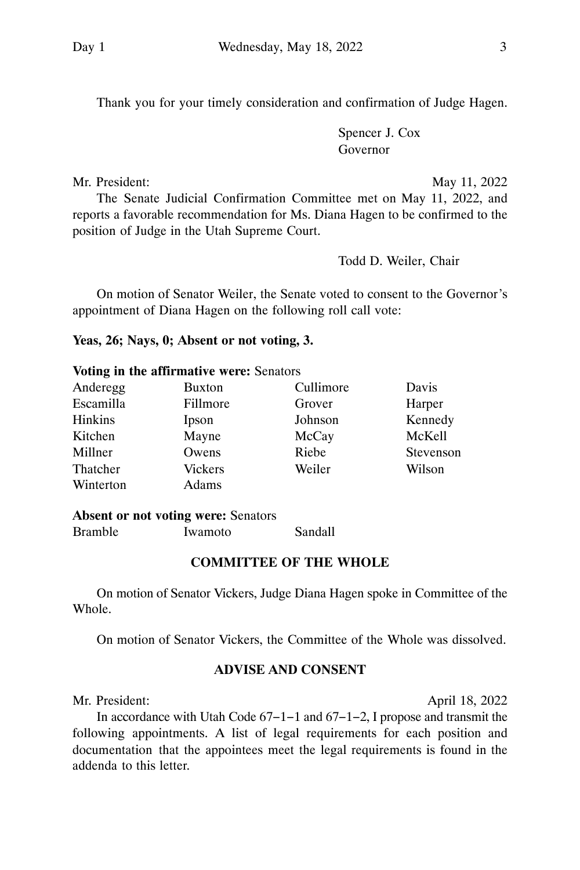Thank you for your timely consideration and confirmation of Judge Hagen.

Spencer J. Cox Governor

Mr. President: May 11, 2022

The Senate Judicial Confirmation Committee met on May 11, 2022, and reports a favorable recommendation for Ms. Diana Hagen to be confirmed to the position of Judge in the Utah Supreme Court.

Todd D. Weiler, Chair

On motion of Senator Weiler, the Senate voted to consent to the Governor's appointment of Diana Hagen on the following roll call vote:

#### **Yeas, 26; Nays, 0; Absent or not voting, 3.**

#### **Voting in the affirmative were:** Senators

| Anderegg       | Buxton         | Cullimore | Davis     |
|----------------|----------------|-----------|-----------|
| Escamilla      | Fillmore       | Grover    | Harper    |
| <b>Hinkins</b> | Ipson          | Johnson   | Kennedy   |
| Kitchen        | Mayne          | McCay     | McKell    |
| Millner        | Owens          | Riebe     | Stevenson |
| Thatcher       | <b>Vickers</b> | Weiler    | Wilson    |
| Winterton      | Adams          |           |           |

#### **Absent or not voting were:** Senators

Bramble Iwamoto Sandall

### **COMMITTEE OF THE WHOLE**

On motion of Senator Vickers, Judge Diana Hagen spoke in Committee of the **Whole** 

On motion of Senator Vickers, the Committee of the Whole was dissolved.

### **ADVISE AND CONSENT**

Mr. President: April 18, 2022

In accordance with Utah Code 67−1−1 and 67−1−2, I propose and transmit the following appointments. A list of legal requirements for each position and documentation that the appointees meet the legal requirements is found in the addenda to this letter.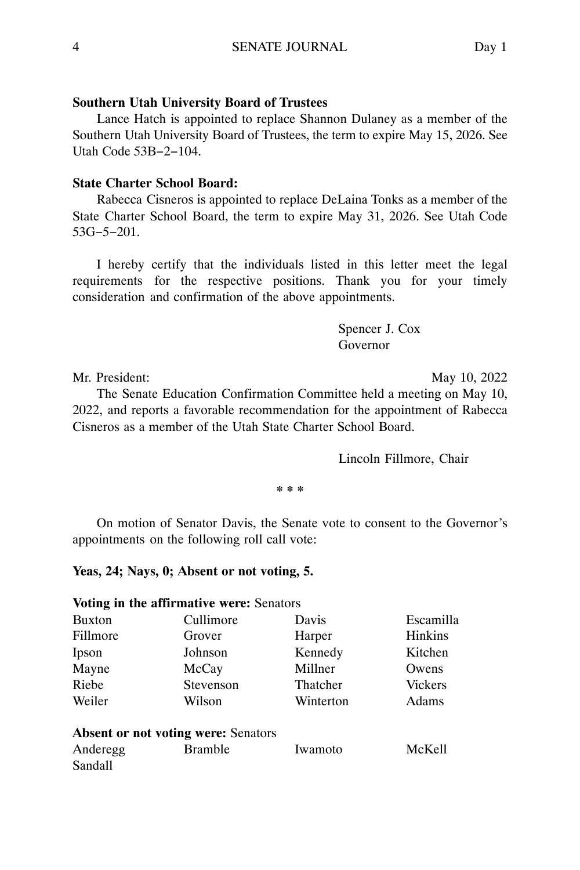#### **Southern Utah University Board of Trustees**

Lance Hatch is appointed to replace Shannon Dulaney as a member of the Southern Utah University Board of Trustees, the term to expire May 15, 2026. See Utah Code 53B−2−104.

#### **State Charter School Board:**

Rabecca Cisneros is appointed to replace DeLaina Tonks as a member of the State Charter School Board, the term to expire May 31, 2026. See Utah Code 53G−5−201.

I hereby certify that the individuals listed in this letter meet the legal requirements for the respective positions. Thank you for your timely consideration and confirmation of the above appointments.

> Spencer J. Cox Governor

Mr. President: May 10, 2022

The Senate Education Confirmation Committee held a meeting on May 10, 2022, and reports a favorable recommendation for the appointment of Rabecca Cisneros as a member of the Utah State Charter School Board.

Lincoln Fillmore, Chair

**\* \* \***

On motion of Senator Davis, the Senate vote to consent to the Governor's appointments on the following roll call vote:

#### **Yeas, 24; Nays, 0; Absent or not voting, 5.**

|               | Voting in the affirmative were: Senators   |           |                |
|---------------|--------------------------------------------|-----------|----------------|
| <b>Buxton</b> | Cullimore                                  | Davis     | Escamilla      |
| Fillmore      | Grover                                     | Harper    | <b>Hinkins</b> |
| Ipson         | Johnson                                    | Kennedy   | Kitchen        |
| Mayne         | McCay                                      | Millner   | Owens          |
| Riebe         | Stevenson                                  | Thatcher  | <b>Vickers</b> |
| Weiler        | Wilson                                     | Winterton | Adams          |
|               | <b>Absent or not voting were: Senators</b> |           |                |
| Anderegg      | <b>Bramble</b>                             | Iwamoto   | McKell         |
| Sandall       |                                            |           |                |